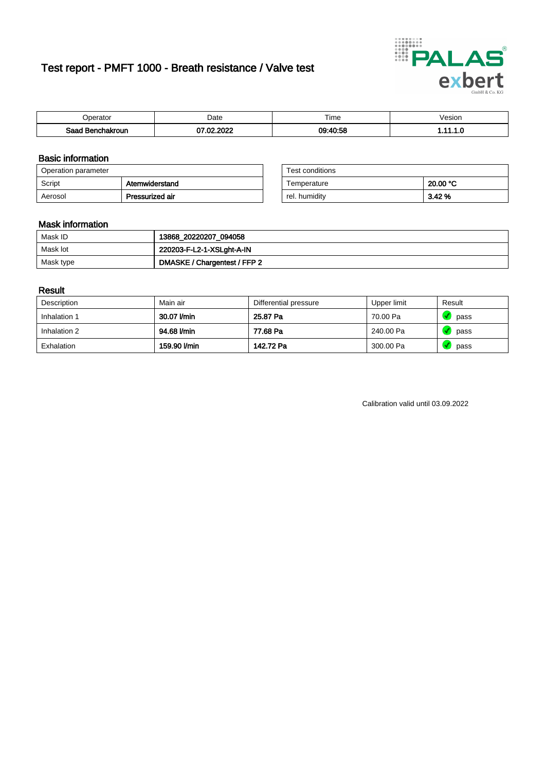# Test report - PMFT 1000 - Breath resistance / Valve test



| )perator               | Date               | $- \cdot$<br>Гіmе | esion |
|------------------------|--------------------|-------------------|-------|
| המס<br>hakroun<br>32 H | 0000<br>- ne<br>w. | 09:40:58          | .     |

### Basic information

| Operation parameter |                 | Test conditions |          |
|---------------------|-----------------|-----------------|----------|
| Script              | Atemwiderstand  | Temperature     | 20.00 °C |
| Aerosol             | Pressurized air | rel. humiditv   | 3.42 %   |

| Test conditions |          |
|-----------------|----------|
| Temperature     | 20.00 °C |
| rel. humidity   | 3.42%    |

### Mask information

| Mask ID   | 13868_20220207_094058        |
|-----------|------------------------------|
| Mask lot  | 220203-F-L2-1-XSLght-A-IN    |
| Mask type | DMASKE / Chargentest / FFP 2 |

### Result

| Description  | Main air     | Differential pressure | Upper limit | Result |
|--------------|--------------|-----------------------|-------------|--------|
| Inhalation 1 | 30.07 l/min  | 25.87 Pa              | 70.00 Pa    | pass   |
| Inhalation 2 | 94.68 l/min  | 77.68 Pa              | 240.00 Pa   | pass   |
| Exhalation   | 159.90 l/min | 142.72 Pa             | 300.00 Pa   | pass   |

Calibration valid until 03.09.2022